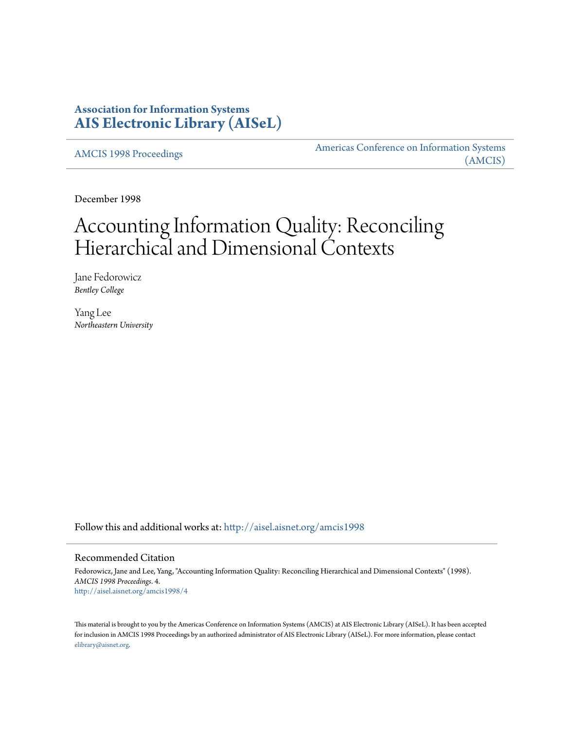# **Association for Information Systems [AIS Electronic Library \(AISeL\)](http://aisel.aisnet.org?utm_source=aisel.aisnet.org%2Famcis1998%2F4&utm_medium=PDF&utm_campaign=PDFCoverPages)**

[AMCIS 1998 Proceedings](http://aisel.aisnet.org/amcis1998?utm_source=aisel.aisnet.org%2Famcis1998%2F4&utm_medium=PDF&utm_campaign=PDFCoverPages)

[Americas Conference on Information Systems](http://aisel.aisnet.org/amcis?utm_source=aisel.aisnet.org%2Famcis1998%2F4&utm_medium=PDF&utm_campaign=PDFCoverPages) [\(AMCIS\)](http://aisel.aisnet.org/amcis?utm_source=aisel.aisnet.org%2Famcis1998%2F4&utm_medium=PDF&utm_campaign=PDFCoverPages)

December 1998

# Accounting Information Quality: Reconciling Hierarchical and Dimensional Contexts

Jane Fedorowicz *Bentley College*

Yang Lee *Northeastern University*

Follow this and additional works at: [http://aisel.aisnet.org/amcis1998](http://aisel.aisnet.org/amcis1998?utm_source=aisel.aisnet.org%2Famcis1998%2F4&utm_medium=PDF&utm_campaign=PDFCoverPages)

### Recommended Citation

Fedorowicz, Jane and Lee, Yang, "Accounting Information Quality: Reconciling Hierarchical and Dimensional Contexts" (1998). *AMCIS 1998 Proceedings*. 4. [http://aisel.aisnet.org/amcis1998/4](http://aisel.aisnet.org/amcis1998/4?utm_source=aisel.aisnet.org%2Famcis1998%2F4&utm_medium=PDF&utm_campaign=PDFCoverPages)

This material is brought to you by the Americas Conference on Information Systems (AMCIS) at AIS Electronic Library (AISeL). It has been accepted for inclusion in AMCIS 1998 Proceedings by an authorized administrator of AIS Electronic Library (AISeL). For more information, please contact [elibrary@aisnet.org.](mailto:elibrary@aisnet.org%3E)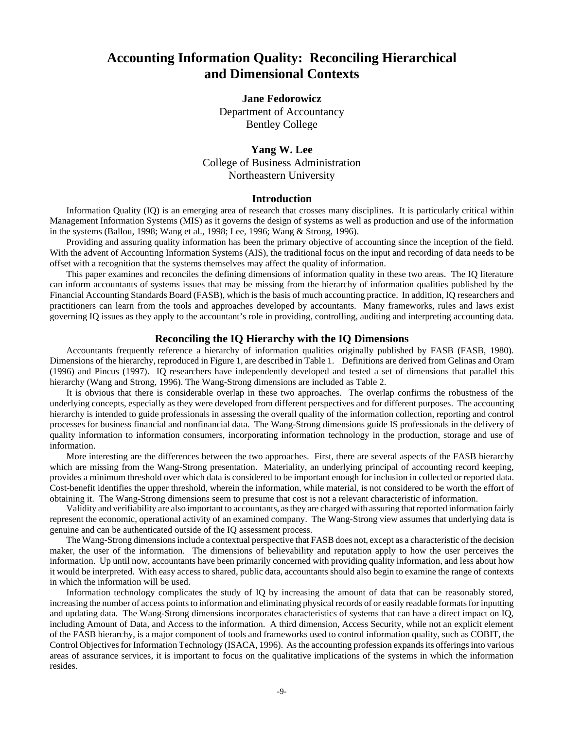# **Accounting Information Quality: Reconciling Hierarchical and Dimensional Contexts**

## **Jane Fedorowicz**

Department of Accountancy Bentley College

## **Yang W. Lee** College of Business Administration Northeastern University

#### **Introduction**

Information Quality (IQ) is an emerging area of research that crosses many disciplines. It is particularly critical within Management Information Systems (MIS) as it governs the design of systems as well as production and use of the information in the systems (Ballou, 1998; Wang et al., 1998; Lee, 1996; Wang & Strong, 1996).

Providing and assuring quality information has been the primary objective of accounting since the inception of the field. With the advent of Accounting Information Systems (AIS), the traditional focus on the input and recording of data needs to be offset with a recognition that the systems themselves may affect the quality of information.

This paper examines and reconciles the defining dimensions of information quality in these two areas. The IQ literature can inform accountants of systems issues that may be missing from the hierarchy of information qualities published by the Financial Accounting Standards Board (FASB), which is the basis of much accounting practice. In addition, IQ researchers and practitioners can learn from the tools and approaches developed by accountants. Many frameworks, rules and laws exist governing IQ issues as they apply to the accountant's role in providing, controlling, auditing and interpreting accounting data.

### **Reconciling the IQ Hierarchy with the IQ Dimensions**

Accountants frequently reference a hierarchy of information qualities originally published by FASB (FASB, 1980). Dimensions of the hierarchy, reproduced in Figure 1, are described in Table 1. Definitions are derived from Gelinas and Oram (1996) and Pincus (1997). IQ researchers have independently developed and tested a set of dimensions that parallel this hierarchy (Wang and Strong, 1996). The Wang-Strong dimensions are included as Table 2.

It is obvious that there is considerable overlap in these two approaches. The overlap confirms the robustness of the underlying concepts, especially as they were developed from different perspectives and for different purposes. The accounting hierarchy is intended to guide professionals in assessing the overall quality of the information collection, reporting and control processes for business financial and nonfinancial data. The Wang-Strong dimensions guide IS professionals in the delivery of quality information to information consumers, incorporating information technology in the production, storage and use of information.

More interesting are the differences between the two approaches. First, there are several aspects of the FASB hierarchy which are missing from the Wang-Strong presentation. Materiality, an underlying principal of accounting record keeping, provides a minimum threshold over which data is considered to be important enough for inclusion in collected or reported data. Cost-benefit identifies the upper threshold, wherein the information, while material, is not considered to be worth the effort of obtaining it. The Wang-Strong dimensions seem to presume that cost is not a relevant characteristic of information.

Validity and verifiability are also important to accountants, as they are charged with assuring that reported information fairly represent the economic, operational activity of an examined company. The Wang-Strong view assumes that underlying data is genuine and can be authenticated outside of the IQ assessment process.

The Wang-Strong dimensions include a contextual perspective that FASB does not, except as a characteristic of the decision maker, the user of the information. The dimensions of believability and reputation apply to how the user perceives the information. Up until now, accountants have been primarily concerned with providing quality information, and less about how it would be interpreted. With easy access to shared, public data, accountants should also begin to examine the range of contexts in which the information will be used.

Information technology complicates the study of IQ by increasing the amount of data that can be reasonably stored, increasing the number of access points to information and eliminating physical records of or easily readable formats for inputting and updating data. The Wang-Strong dimensions incorporates characteristics of systems that can have a direct impact on IQ, including Amount of Data, and Access to the information. A third dimension, Access Security, while not an explicit element of the FASB hierarchy, is a major component of tools and frameworks used to control information quality, such as COBIT, the Control Objectives for Information Technology (ISACA, 1996). As the accounting profession expands its offerings into various areas of assurance services, it is important to focus on the qualitative implications of the systems in which the information resides.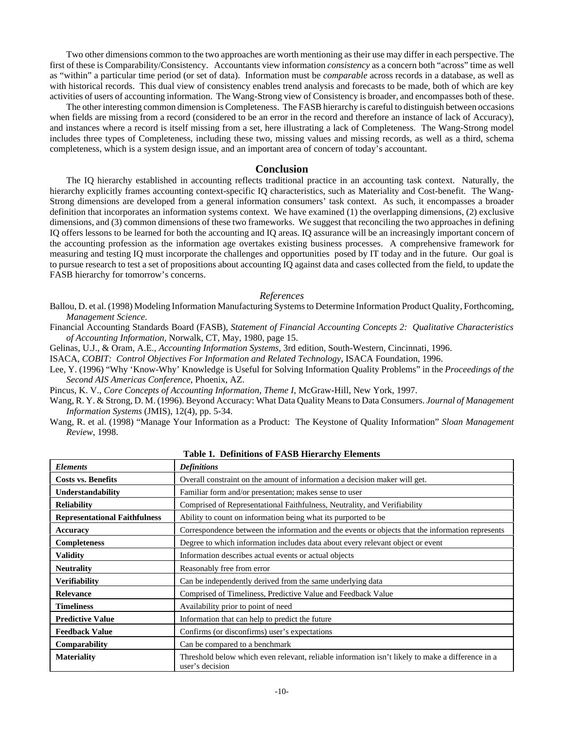Two other dimensions common to the two approaches are worth mentioning as their use may differ in each perspective. The first of these is Comparability/Consistency. Accountants view information *consistency* as a concern both "across" time as well as "within" a particular time period (or set of data). Information must be *comparable* across records in a database, as well as with historical records. This dual view of consistency enables trend analysis and forecasts to be made, both of which are key activities of users of accounting information. The Wang-Strong view of Consistency is broader, and encompasses both of these.

The other interesting common dimension is Completeness. The FASB hierarchy is careful to distinguish between occasions when fields are missing from a record (considered to be an error in the record and therefore an instance of lack of Accuracy), and instances where a record is itself missing from a set, here illustrating a lack of Completeness. The Wang-Strong model includes three types of Completeness, including these two, missing values and missing records, as well as a third, schema completeness, which is a system design issue, and an important area of concern of today's accountant.

#### **Conclusion**

The IQ hierarchy established in accounting reflects traditional practice in an accounting task context. Naturally, the hierarchy explicitly frames accounting context-specific IQ characteristics, such as Materiality and Cost-benefit. The Wang-Strong dimensions are developed from a general information consumers' task context. As such, it encompasses a broader definition that incorporates an information systems context. We have examined (1) the overlapping dimensions, (2) exclusive dimensions, and (3) common dimensions of these two frameworks. We suggest that reconciling the two approaches in defining IQ offers lessons to be learned for both the accounting and IQ areas. IQ assurance will be an increasingly important concern of the accounting profession as the information age overtakes existing business processes. A comprehensive framework for measuring and testing IQ must incorporate the challenges and opportunities posed by IT today and in the future. Our goal is to pursue research to test a set of propositions about accounting IQ against data and cases collected from the field, to update the FASB hierarchy for tomorrow's concerns.

#### *References*

Ballou, D. et al. (1998) Modeling Information Manufacturing Systems to Determine Information Product Quality, Forthcoming, *Management Science*.

Financial Accounting Standards Board (FASB), *Statement of Financial Accounting Concepts 2: Qualitative Characteristics of Accounting Information*, Norwalk, CT, May, 1980, page 15.

Gelinas, U.J., & Oram, A.E., *Accounting Information Systems*, 3rd edition, South-Western, Cincinnati, 1996.

ISACA, *COBIT: Control Objectives For Information and Related Technology*, ISACA Foundation, 1996.

Lee, Y. (1996) "Why 'Know-Why' Knowledge is Useful for Solving Information Quality Problems" in the *Proceedings of the Second AIS Americas Conference*, Phoenix, AZ.

Pincus, K. V., *Core Concepts of Accounting Information, Theme I*, McGraw-Hill, New York, 1997.

Wang, R. Y. & Strong, D. M. (1996). Beyond Accuracy: What Data Quality Means to Data Consumers. *Journal of Management Information Systems* (JMIS), 12(4), pp. 5-34.

Wang, R. et al. (1998) "Manage Your Information as a Product: The Keystone of Quality Information" *Sloan Management Review*, 1998.

| <b>Elements</b>                      | <b>Definitions</b>                                                                                                  |
|--------------------------------------|---------------------------------------------------------------------------------------------------------------------|
| <b>Costs vs. Benefits</b>            | Overall constraint on the amount of information a decision maker will get.                                          |
| Understandability                    | Familiar form and/or presentation; makes sense to user                                                              |
| <b>Reliability</b>                   | Comprised of Representational Faithfulness, Neutrality, and Verifiability                                           |
| <b>Representational Faithfulness</b> | Ability to count on information being what its purported to be                                                      |
| Accuracy                             | Correspondence between the information and the events or objects that the information represents                    |
| <b>Completeness</b>                  | Degree to which information includes data about every relevant object or event                                      |
| <b>Validity</b>                      | Information describes actual events or actual objects                                                               |
| <b>Neutrality</b>                    | Reasonably free from error                                                                                          |
| <b>Verifiability</b>                 | Can be independently derived from the same underlying data                                                          |
| <b>Relevance</b>                     | Comprised of Timeliness, Predictive Value and Feedback Value                                                        |
| <b>Timeliness</b>                    | Availability prior to point of need                                                                                 |
| <b>Predictive Value</b>              | Information that can help to predict the future                                                                     |
| <b>Feedback Value</b>                | Confirms (or disconfirms) user's expectations                                                                       |
| <b>Comparability</b>                 | Can be compared to a benchmark                                                                                      |
| <b>Materiality</b>                   | Threshold below which even relevant, reliable information isn't likely to make a difference in a<br>user's decision |

**Table 1. Definitions of FASB Hierarchy Elements**